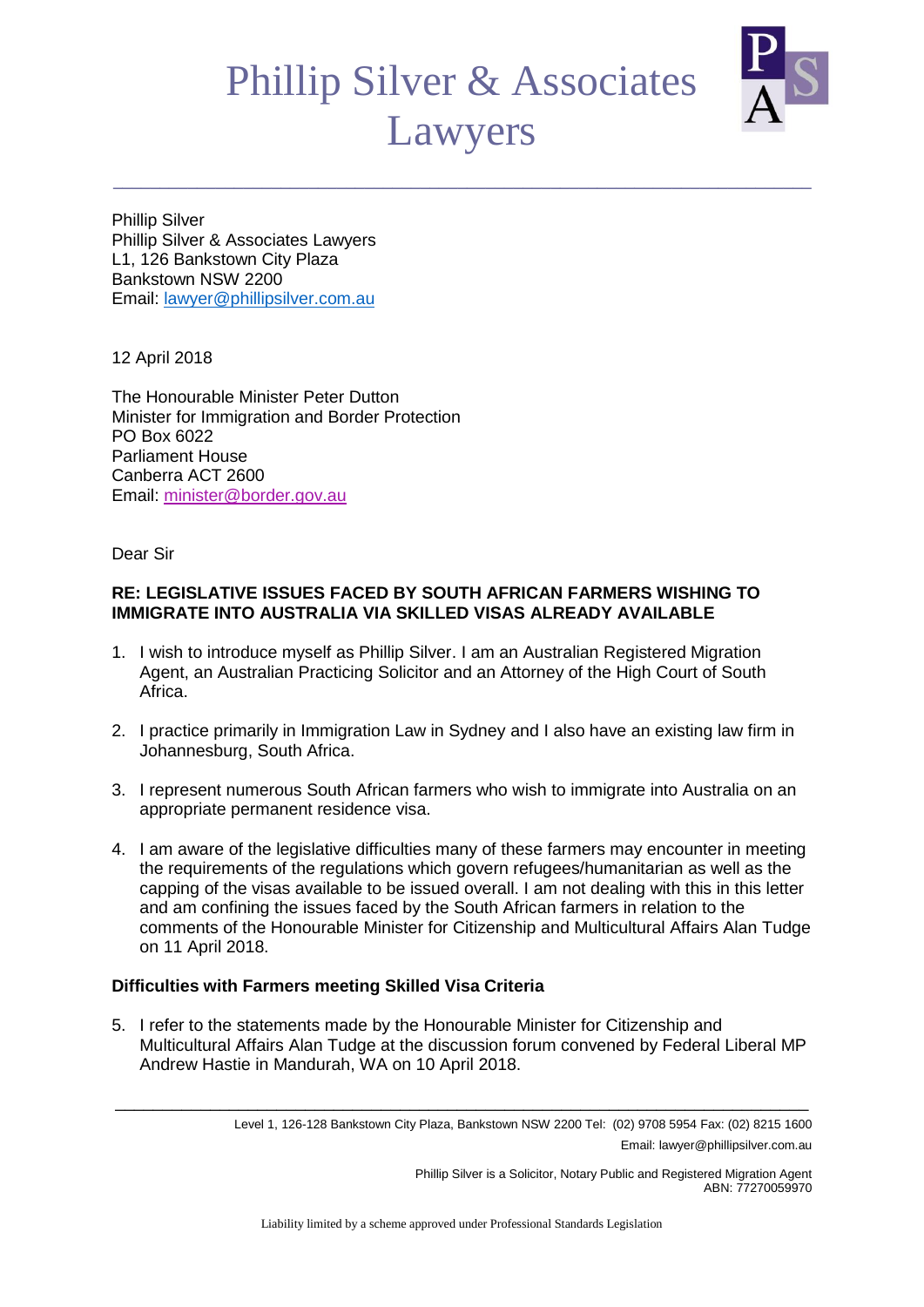# Phillip Silver & Associates Lawyers

**\_\_\_\_\_\_\_\_\_\_\_\_\_\_\_\_\_\_\_\_\_\_\_\_\_\_\_\_\_\_\_\_\_\_\_\_\_\_\_\_\_\_\_\_\_\_\_\_\_\_\_\_\_\_\_\_\_\_\_\_\_\_\_\_\_\_\_\_\_\_\_\_\_\_\_**



Phillip Silver Phillip Silver & Associates Lawyers L1, 126 Bankstown City Plaza Bankstown NSW 2200 Email: [lawyer@phillipsilver.com.au](mailto:lawyer@phillipsilver.com.au)

12 April 2018

The Honourable Minister Peter Dutton Minister for Immigration and Border Protection PO Box 6022 Parliament House Canberra ACT 2600 Email: [minister@border.gov.au](mailto:minister@border.gov.au)

Dear Sir

### **RE: LEGISLATIVE ISSUES FACED BY SOUTH AFRICAN FARMERS WISHING TO IMMIGRATE INTO AUSTRALIA VIA SKILLED VISAS ALREADY AVAILABLE**

- 1. I wish to introduce myself as Phillip Silver. I am an Australian Registered Migration Agent, an Australian Practicing Solicitor and an Attorney of the High Court of South Africa.
- 2. I practice primarily in Immigration Law in Sydney and I also have an existing law firm in Johannesburg, South Africa.
- 3. I represent numerous South African farmers who wish to immigrate into Australia on an appropriate permanent residence visa.
- 4. I am aware of the legislative difficulties many of these farmers may encounter in meeting the requirements of the regulations which govern refugees/humanitarian as well as the capping of the visas available to be issued overall. I am not dealing with this in this letter and am confining the issues faced by the South African farmers in relation to the comments of the Honourable Minister for Citizenship and Multicultural Affairs Alan Tudge on 11 April 2018.

## **Difficulties with Farmers meeting Skilled Visa Criteria**

5. I refer to the statements made by the Honourable Minister for Citizenship and Multicultural Affairs Alan Tudge at the discussion forum convened by Federal Liberal MP Andrew Hastie in Mandurah, WA on 10 April 2018.

\_\_\_\_\_\_\_\_\_\_\_\_\_\_\_\_\_\_\_\_\_\_\_\_\_\_\_\_\_\_\_\_\_\_\_\_\_\_\_\_\_\_\_\_\_\_\_\_\_\_\_\_\_\_\_\_\_\_\_\_\_\_\_\_\_\_\_\_\_\_\_\_\_

Phillip Silver is a Solicitor, Notary Public and Registered Migration Agent ABN: 77270059970

Level 1, 126-128 Bankstown City Plaza, Bankstown NSW 2200 Tel: (02) 9708 5954 Fax: (02) 8215 1600 Email: lawyer@phillipsilver.com.au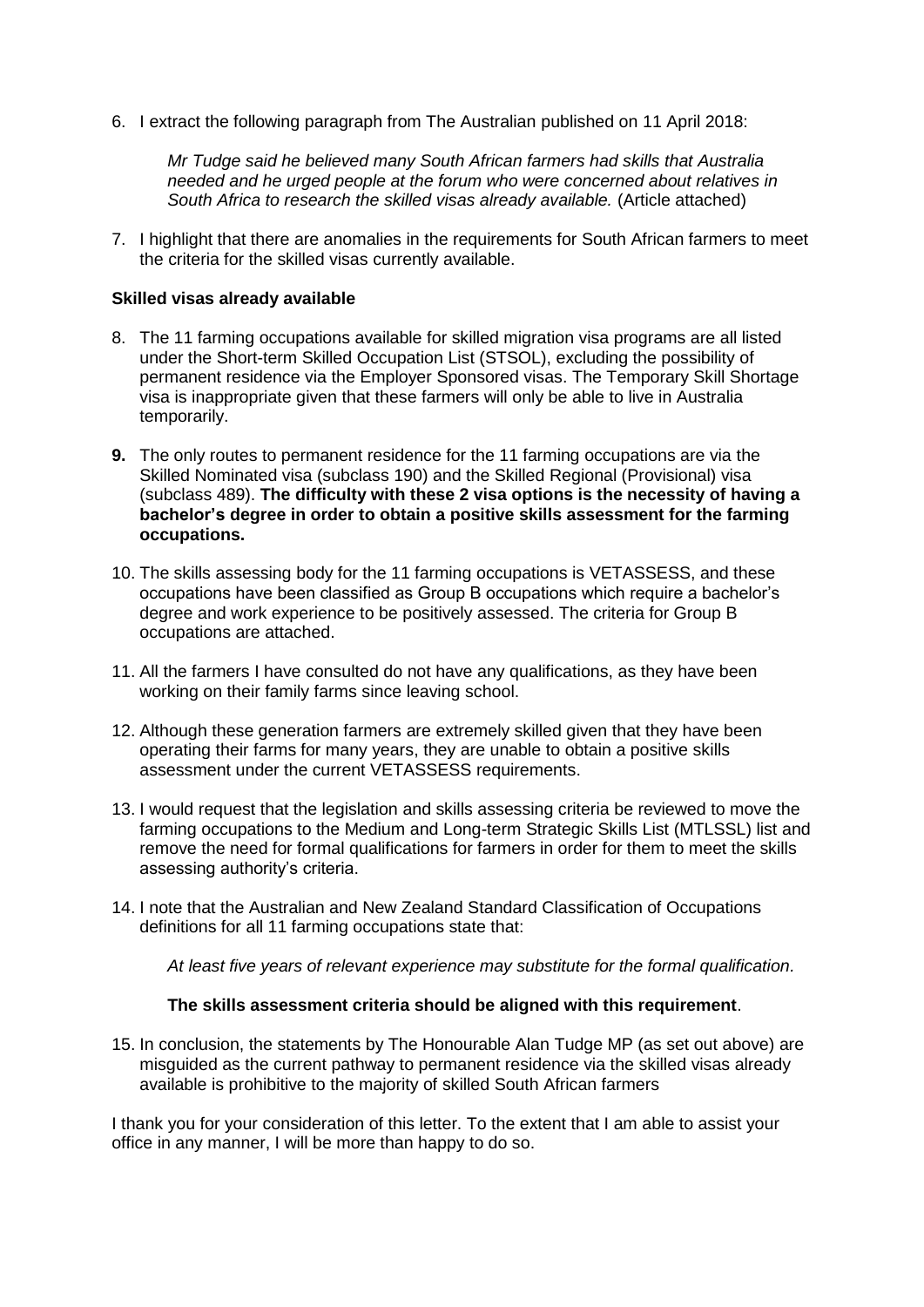6. I extract the following paragraph from The Australian published on 11 April 2018:

*Mr Tudge said he believed many South African farmers had skills that Australia needed and he urged people at the forum who were concerned about relatives in South Africa to research the skilled visas already available.* (Article attached)

7. I highlight that there are anomalies in the requirements for South African farmers to meet the criteria for the skilled visas currently available.

#### **Skilled visas already available**

- 8. The 11 farming occupations available for skilled migration visa programs are all listed under the Short-term Skilled Occupation List (STSOL), excluding the possibility of permanent residence via the Employer Sponsored visas. The Temporary Skill Shortage visa is inappropriate given that these farmers will only be able to live in Australia temporarily.
- **9.** The only routes to permanent residence for the 11 farming occupations are via the Skilled Nominated visa (subclass 190) and the Skilled Regional (Provisional) visa (subclass 489). **The difficulty with these 2 visa options is the necessity of having a bachelor's degree in order to obtain a positive skills assessment for the farming occupations.**
- 10. The skills assessing body for the 11 farming occupations is VETASSESS, and these occupations have been classified as Group B occupations which require a bachelor's degree and work experience to be positively assessed. The criteria for Group B occupations are attached.
- 11. All the farmers I have consulted do not have any qualifications, as they have been working on their family farms since leaving school.
- 12. Although these generation farmers are extremely skilled given that they have been operating their farms for many years, they are unable to obtain a positive skills assessment under the current VETASSESS requirements.
- 13. I would request that the legislation and skills assessing criteria be reviewed to move the farming occupations to the Medium and Long-term Strategic Skills List (MTLSSL) list and remove the need for formal qualifications for farmers in order for them to meet the skills assessing authority's criteria.
- 14. I note that the Australian and New Zealand Standard Classification of Occupations definitions for all 11 farming occupations state that:

*At least five years of relevant experience may substitute for the formal qualification.*

#### **The skills assessment criteria should be aligned with this requirement**.

15. In conclusion, the statements by The Honourable Alan Tudge MP (as set out above) are misguided as the current pathway to permanent residence via the skilled visas already available is prohibitive to the majority of skilled South African farmers

I thank you for your consideration of this letter. To the extent that I am able to assist your office in any manner, I will be more than happy to do so.